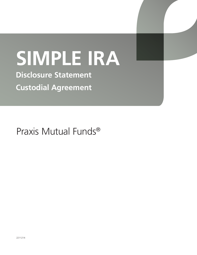# **SIMPLE IRA**

**Disclosure Statement Custodial Agreement**

Praxis Mutual Funds®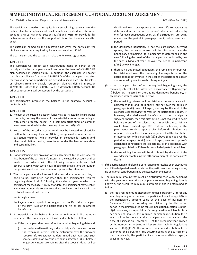# **SIMPLE INDIVIDUAL RETIREMENT CUSTODIAL ACCOUNT AGREEMENT**

Form 5305-SA under section 408(p) of the Internal Revenue Code. The Internal Revenue Code. For the Internal Revenue Code.

The participant named on the application is establishing a savings incentive match plan for employees of small employers individual retirement account (SIMPLE IRA) under sections 408(a) and 408(p) to provide for his or her retirement and for the support of his or her beneficiaries after death.

The custodian named on the application has given the participant the disclosure statement required by Regulations section 1.408‑6.

The participant and the custodian make the following agreement:

# **ARTICLE I**

The custodian will accept cash contributions made on behalf of the participant by the participant's employer under the terms of a SIMPLE IRA plan described in section 408(p). In addition, the custodian will accept transfers or rollovers from other SIMPLE IRAs of the participant and, after the two‑year period of participation defined in section 72(t)(6), transfers or rollovers from any eligible retirement plan (as defined in section 402(c)(8)(B)) other than a Roth IRA or a designated Roth account. No other contributions will be accepted by the custodian.

# **ARTICLE II**

The participant's interest in the balance in the custodial account is nonforfeitable.

# **ARTICLE III**

- 1. No part of the custodial account funds may be invested in life insurance contracts, nor may the assets of the custodial account be commingled with other property except in a common trust fund or common investment fund (within the meaning of section 408(a)(5)).
- 2. No part of the custodial account funds may be invested in collectibles (within the meaning of section 408(m)) except as otherwise permitted by section 408(m)(3), which provides an exception for certain gold, silver, and platinum coins, coins issued under the laws of any state, and certain bullion.

# **ARTICLE IV**

- 1. Notwithstanding any provision of this agreement to the contrary, the distribution of the participant's interest in the custodial account shall be made in accordance with the following requirements and shall otherwise comply with section 408(a)(6) and the regulations thereunder, the provisions of which are herein incorporated by reference.
- 2. The participant's entire interest in the custodial account must be, or begin to be, distributed not later than the participant's required beginning date, April 1 following the calendar year in which the participant reaches age 70½. By that date, the participant may elect, in a manner acceptable to the custodian, to have the balance in the custodial account distributed in:
	- (a) A single sum or
	- (b) Payments over a period not longer than the life of the participant or the joint lives of the participant and his or her designated beneficiary.
- 3. If the participant dies before his or her entire interest is distributed to him or her, the remaining interest will be distributed as follows:
	- (a) If the participant dies on or after the required beginning date and:
		- (i) the designated beneficiary is the participant's surviving spouse, the remaining interest will be distributed over the surviving spouse's life expectancy as determined each year until such spouse's death, or over the period in paragraph (a)(iii) below if longer. Any interest remaining after the spouse's death will be

distributed over such spouse's remaining life expectancy as determined in the year of the spouse's death and reduced by one for each subsequent year, or, if distributions are being made over the period in paragraph (a)(iii) below, over such period.

- (ii) the designated beneficiary is not the participant's surviving spouse, the remaining interest will be distributed over the beneficiary's remaining life expectancy as determined in the year following the death of the participant and reduced by one for each subsequent year, or over the period in paragraph (a)(iii) below if longer.
- (iii) there is no designated beneficiary, the remaining interest will be distributed over the remaining life expectancy of the participant as determined in the year of the participant's death and reduced by one for each subsequent year.
- (b) If the participant dies before the required beginning date, the remaining interest will be distributed in accordance with paragraph (i) below or, if elected or there is no designated beneficiary, in accordance with paragraph (ii) below:
	- (i) the remaining interest will be distributed in accordance with paragraphs (a)(i) and (a)(ii) above (but not over the period in paragraph (a)(iii), even if longer), starting by the end of the calendar year following the year of the participant's death. If, however, the designated beneficiary is the participant's surviving spouse, then this distribution is not required to begin before the end of the calendar year in which the participant would have reached age 70½. But, in such case, if the participant's surviving spouse dies before distributions are required to begin, then the remaining interest will be distributed in accordance with paragraph (a)(ii) above (but not over the period in paragraph (a)(iii), even if longer), over such spouse's designated beneficiary's life expectancy, or in accordance with paragraph (ii) below if there is no such designated beneficiary.
	- (ii) the remaining interest will be distributed by the end of the calendar year containing the fifth anniversary of the participant's death.
- 4. If the participant dies before his or her entire interest has been distributed and if the designated beneficiary is not the participant's surviving spouse, no additional contributions may be accepted in the account.
- 5. The minimum amount that must be distributed each year, beginning with the year containing the participant's required beginning date, is known as the "required minimum distribution" and is determined as follows:
	- (a) the required minimum distribution under paragraph 2(b) for any year, beginning with the year the participant reaches age 70½, is the participant's account value at the close of business on December 31 of the preceding year divided by the distribution period in the uniform lifetime table in Regulations section 1.401(a) (9)‑9. However, if the participant's designated beneficiary is his or her surviving spouse, the required minimum distribution for a year shall not be more than the participant's account value at the close of business on December 31 of the preceding year divided by the number in the joint and last survivor table in Regulations section 1.401(a)(9)-9. The required minimum distribution for a year under this paragraph (a) is determined using the participant's (or, if applicable, the participant and spouse's) attained age (or ages) in the year.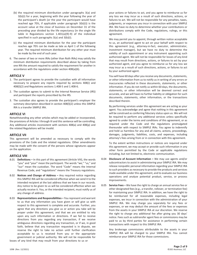- (b) the required minimum distribution under paragraphs 3(a) and 3(b)(i) for a year, beginning with the year following the year of the participant's death (or the year the participant would have reached age 70½, if applicable under paragraph 3(b)(i)) is the account value at the close of business on December 31 of the preceding year divided by the life expectancy (in the single life table in Regulations section  $1.401(a)(9)-9$  of the individual specified in such paragraphs 3(a) and 3(b)(i).
- (c) the required minimum distribution for the year the participant reaches age 70½ can be made as late as April 1 of the following year. The required minimum distribution for any other year must be made by the end of such year.
- 6. The owner of two or more IRAs (other than Roth IRAs) may satisfy the minimum distribution requirements described above by taking from one IRA the amount required to satisfy the requirement for another in accordance with the regulations under section 408(a)(6).

# **ARTICLE V**

- 1. The participant agrees to provide the custodian with all information necessary to prepare any reports required by sections 408(i) and 408(l)(2) and Regulations sections 1.408‑5 and 1.408‑6.
- 2. The custodian agrees to submit to the Internal Revenue Service (IRS) and participant the reports prescribed by the IRS.
- 3. The custodian also agrees to provide the participant's employer the summary description described in section 408(l)(2) unless this SIMPLE IRA is a transfer SIMPLE IRA.

# **ARTICLE VI**

Notwithstanding any other articles which may be added or incorporated, the provisions of Articles I through III and this sentence will be controlling. Any additional articles inconsistent with sections 408(a) and 408(p) and the related Regulations will be invalid.

# **ARTICLE VII**

This agreement will be amended as necessary to comply with the provisions of the Code and the related regulations. Other amendments may be made with the consent of the persons whose signatures appear on the application.

# **ARTICLE VIII**

- 8.01 **Definitions –** In this part of this agreement (Article VIII), the words "you" and "your" mean the participant. The words "we," "us," and "our" mean the custodian. The word "Code" means the Internal Revenue Code, and "regulations" means the Treasury regulations.
- 8.02 **Notices and Change of Address –** Any required notice regarding this SIMPLE IRA will be considered effective when we send it to the intended recipient at the last address that we have in our records. Any notice to be given to us will be considered effective when we actually receive it. You, or the intended recipient, must notify us of any change of address.
- 8.03 **Representations and Responsibilities –** You represent and warrant to us that any information you have given or will give us with respect to this agreement is complete and accurate. Further, you agree that any directions you give us or action you take will be proper under this agreement, and that we are entitled to rely upon any such information or directions. If we fail to receive directions from you regarding any transaction, if we receive ambiguous directions regarding any transaction, or if we, in good faith, believe that any transaction requested is in dispute, we reserve the right to take no action until further clarification acceptable to us is received from you or the appropriate government or judicial authority. We will not be responsible for losses of any kind that may result from your directions to us or

your actions or failures to act, and you agree to reimburse us for any loss we may incur as a result of such directions, actions, or failures to act. We will not be responsible for any penalties, taxes, judgments, or expenses you incur in connection with your SIMPLE IRA. We have no duty to determine whether your contributions or distributions comply with the Code, regulations, rulings, or this agreement.

We may permit you to appoint, through written notice acceptable to us, an authorized agent to act on your behalf with respect to this agreement (e.g., attorney-in-fact, executor, administrator, investment manager), but we have no duty to determine the validity of such appointment or any instrument appointing such authorized agent. We will not be responsible for losses of any kind that may result from directions, actions, or failures to act by your authorized agent, and you agree to reimburse us for any loss we may incur as a result of such directions, actions, or failures to act by your authorized agent.

You will have 60 days after you receive any documents, statements, or other information from us to notify us in writing of any errors or inaccuracies reflected in these documents, statements, or other information. If you do not notify us within 60 days, the documents, statements, or other information will be deemed correct and accurate, and we will have no further liability or obligation for such documents, statements, other information, or the transactions described therein.

By performing services under this agreement we are acting as your agent. You acknowledge and agree that nothing in this agreement will be construed as conferring fiduciary status upon us. We will not be required to perform any additional services unless specifically agreed to under the terms and conditions of this agreement, or as required under the Code and the regulations promulgated thereunder with respect to SIMPLE IRAs. You agree to indemnify and hold us harmless for any and all claims, actions, proceedings, damages, judgments, liabilities, costs, and expenses, including attorney's fees arising from or in connection with this agreement.

To the extent written instructions or notices are required under this agreement, we may accept or provide such information in any other form permitted by the Code or applicable regulations including, but not limited to, electronic communication.

- 8.04 **Disclosure of Account Information –** We may use agents and/or subcontractors to assist in administering your SIMPLE IRA. We may release nonpublic personal information regarding your SIMPLE IRA to such providers as necessary to provide the products and services made available under this agreement, and to evaluate our business operations and analyze potential product, service, or process improvements.
- 8.05 **Service Fees –** We have the right to charge an annual service fee or other designated fees (e.g., a transfer, rollover, or termination fee) for maintaining your SIMPLE IRA. In addition, we have the right to be reimbursed for all reasonable expenses, including legal expenses, we incur in connection with the administration of your SIMPLE IRA. We may charge you separately for any fees or expenses, or we may deduct the amount of the fees or expenses from the assets in your SIMPLE IRA at our discretion. We reserve the right to charge any additional fee after giving you 30 days' notice. Fees such as subtransfer agent fees or commissions may be paid to us by third parties for assistance in performing certain transactions with respect to this SIMPLE IRA.

Any brokerage commissions attributable to the assets in your SIMPLE IRA will be charged to your SIMPLE IRA. You cannot reimburse your SIMPLE IRA for those commissions.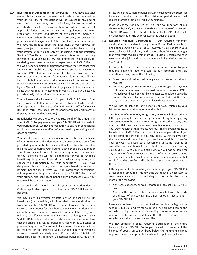8.06 **Investment of Amounts in the SIMPLE IRA –** You have exclusive responsibility for and control over the investment of the assets of your SIMPLE IRA. All transactions will be subject to any and all restrictions or limitations, direct or indirect, that are imposed by our charter, articles of incorporation, or bylaws; any and all applicable federal and state laws and regulations; the rules, regulations, customs, and usages of any exchange, market, or clearing house where the transaction is executed; our policies and practices; and this agreement. After your death, your beneficiaries will have the right to direct the investment of your SIMPLE IRA assets, subject to the same conditions that applied to you during your lifetime under this agreement (including, without limitation, Section 8.03 of this article). We will have no discretion to direct any investment in your SIMPLE IRA. We assume no responsibility for rendering investment advice with respect to your SIMPLE IRA, nor will we offer any opinion or judgment to you on matters concerning the value or suitability of any investment or proposed investment for your SIMPLE IRA. In the absence of instructions from you, or if your instructions are not in a form acceptable to us, we will have the right to hold any uninvested amounts in cash, and we will have no responsibility to invest uninvested cash unless and until directed by you. We will not exercise the voting rights and other shareholder rights with respect to investments in your SIMPLE IRA unless you provide timely written directions acceptable to us.

You will select the investment for your SIMPLE IRA assets from those investments that we are authorized by our charter, articles of incorporation, or bylaws to offer and do in fact offer for SIMPLE IRAs (e.g., term share accounts, passbook accounts, certificates of deposit, money market accounts).

8.07 **Beneficiaries –** If you die before you receive all of the amounts in your SIMPLE IRA, payments from your SIMPLE IRA will be made to your beneficiaries. We have no obligation to pay your beneficiaries until such time we are notified of your death by receiving a valid death certificate.

You may designate one or more persons or entities as beneficiary of your SIMPLE IRA. This designation can only be made on a form provided by or acceptable to us, and it will only be effective when it is filed with us during your lifetime. Each beneficiary designation you file with us will cancel all previous designations. The consent of your beneficiaries will not be required for you to revoke a beneficiary designation. If you do not make a designation, your spouse will automatically be your beneficiary. If you have designated both primary and contingent beneficiaries and no primary beneficiary survives you, the contingent beneficiaries will acquire the designated share of your SIMPLE IRA. If all of your primary and contingent beneficiaries predecease you, your estate will be the beneficiary.

A spouse beneficiary will have all rights as granted under the Code or applicable regulations to treat your SIMPLE IRA as his or her own.

We may allow, if permitted by state law, an original SIMPLE IRA beneficiary (the beneficiary who is entitled to receive distributions from an inherited SIMPLE IRA at the time of your death) to name successor beneficiaries for the inherited SIMPLE IRA. This designation can only be made on a form provided by or acceptable to us, and it will only be effective when it is filed with us during the original SIMPLE IRA beneficiary's lifetime. Each beneficiary designation form that the original SIMPLE IRA beneficiary files with us will cancel all previous designations. The consent of a successor beneficiary will not be required for the original SIMPLE IRA beneficiary to revoke a successor beneficiary designation. If the original SIMPLE IRA beneficiary does not designate a successor beneficiary, his or her

estate will be the successor beneficiary. In no event will the successor beneficiary be able to extend the distribution period beyond that required for the original SIMPLE IRA beneficiary.

If we so choose, for any reason (e.g., due to limitations of our charter or bylaws), we may require that a beneficiary of a deceased SIMPLE IRA owner take total distribution of all SIMPLE IRA assets by December 31 of the year following the year of death.

8.08 **Required Minimum Distributions –** Your required minimum distribution is calculated using the uniform lifetime table in Regulations section 1.401(a)(9)-9. However, if your spouse is your sole designated beneficiary and is more than 10 years younger than you, your required minimum distribution is calculated each year using the joint and last survivor table in Regulations section  $1.401(a)(9)-9.$ 

If you fail to request your required minimum distribution by your required beginning date we can, at our complete and sole discretion, do any one of the following.

- Make no distribution until you give us a proper withdrawal request
- Distribute your entire SIMPLE IRA to you in a single sum payment
- Determine your required minimum distribution from your SIMPLE IRA each year based on your life expectancy, calculated using the uniform lifetime table in Regulations section 1.401(a)(9)-9, and pay those distributions to you until you direct otherwise

We will not be liable for any penalties or taxes related to your failure to take a required minimum distribution.

8.09 **Termination of Agreement, Resignation, or Removal of Custodian –** Either party may terminate this agreement at any time by giving written notice to the other. We can resign as custodian at any time effective 30 days after we send written notice of our resignation to you. Upon receipt of that notice, you must make arrangements to transfer your SIMPLE IRA to another financial organization. If you do not complete a transfer of your SIMPLE IRA within 30 days from the date we send the notice to you, we have the right to transfer your SIMPLE IRA assets to a successor SIMPLE IRA trustee or custodian that we choose in our sole discretion, or we may pay your SIMPLE IRA to you in a single sum. We will not be liable for any actions or failures to act on the part of any successor trustee or custodian, nor for any tax consequences you may incur that result from the transfer or distribution of your assets pursuant to this section.

If this agreement is terminated, we may charge to your SIMPLE IRA a reasonable amount of money that we believe is necessary to cover any associated costs, including but not limited to one or more of the following.

- Any fees, expenses, or taxes chargeable against your SIMPLE IRA
- Any penalties or surrender charges associated with the early withdrawal of any savings instrument or other investment in your SIMPLE IRA

If we are a nonbank custodian required to comply with Regulations section 1.408‑2(e) and we fail to do so or we are not keeping the records, making the returns, or sending the statements as are required by forms or regulations, the IRS may require us to substitute another trustee or custodian.

We may establish a policy requiring distribution of the entire balance of your SIMPLE IRA to you in cash or property if the balance of your SIMPLE IRA drops below the minimum balance required under the applicable investment or policy established.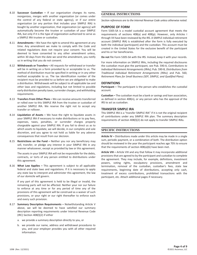- 8.10 **Successor Custodian –** If our organization changes its name, reorganizes, merges with another organization (or comes under the control of any federal or state agency), or if our entire organization (or any portion that includes your SIMPLE IRA) is bought by another organization, that organization (or agency) will automatically become the trustee or custodian of your SIMPLE IRA, but only if it is the type of organization authorized to serve as a SIMPLE IRA trustee or custodian.
- 8.11 **Amendments –** We have the right to amend this agreement at any time. Any amendment we make to comply with the Code and related regulations does not require your consent. You will be deemed to have consented to any other amendment unless, within 30 days from the date we send the amendment, you notify us in writing that you do not consent.
- 8.12 **Withdrawals or Transfers –** All requests for withdrawal or transfer will be in writing on a form provided by or acceptable to us. The method of distribution must be specified in writing or in any other method acceptable to us. The tax identification number of the recipient must be provided to us before we are obligated to make a distribution. Withdrawals will be subject to all applicable tax and other laws and regulations, including but not limited to possible early distribution penalty taxes, surrender charges, and withholding requirements.
- 8.13 **Transfers From Other Plans –** We can receive amounts transferred or rolled over to this SIMPLE IRA from the trustee or custodian of another SIMPLE IRA. We reserve the right not to accept any transfer or rollover.
- 8.14 **Liquidation of Assets –** We have the right to liquidate assets in your SIMPLE IRA if necessary to make distributions or to pay fees, expenses, taxes, penalties, or surrender charges properly chargeable against your SIMPLE IRA. If you fail to direct us as to which assets to liquidate, we will decide, in our complete and sole discretion, and you agree to not hold us liable for any adverse consequences that result from our decision.
- 8.15 **Restrictions on the Fund –** Neither you nor any beneficiary may sell, transfer, or pledge any interest in your SIMPLE IRA in any manner whatsoever, except as provided by law or this agreement.

The assets in your SIMPLE IRA will not be responsible for the debts, contracts, or torts of any person entitled to distributions under this agreement.

8.16 **What Law Applies –** This agreement is subject to all applicable federal and state laws and regulations. If it is necessary to apply any state law to interpret and administer this agreement, the law of our domicile will govern.

If any part of this agreement is held to be illegal or invalid, the remaining parts will not be affected. Neither your nor our failure to enforce at any time or for any period of time any of the provisions of this agreement will be construed as a waiver of such provisions, or your right or our right thereafter to enforce each and every such provision.

- 8.17 **Summary Description Requirements –** Notwithstanding Article V above, we will be deemed to have satisfied our summary description reporting requirements under Internal Revenue Code (IRC) Section 408(l)(2) if either
	- a. we provide a summary description directly to you, or
	- b. we provide our name, address and withdrawal procedures to you, and your employer provides you with all other required information.

# **GENERAL INSTRUCTIONS**

*Section references are to the Internal Revenue Code unless otherwise noted.*

#### **PURPOSE OF FORM**

Form 5305‑SA is a model custodial account agreement that meets the requirements of sections 408(a) and 408(p). However, only Articles I through VII have been reviewed by the IRS. A SIMPLE individual retirement account (SIMPLE IRA) is established after the form is fully executed by both the individual (participant) and the custodian. This account must be created in the United States for the exclusive benefit of the participant and his or her beneficiaries.

**Do not** file Form 5305‑SA with the IRS. Instead, keep it with your records.

For more information on SIMPLE IRAs, including the required disclosures the custodian must give the participant, see Pub. 590‑A, *Contributions to Individual Retirement Arrangements (IRAs);* Pub. 590‑B, *Distributions from Traditional Individual Retirement Arrangements (IRAs)*; and Pub. 560, *Retirement Plans for Small Business (SEP, SIMPLE, and Qualified Plans)*.

#### **DEFINITIONS**

**Participant –** The participant is the person who establishes the custodial account.

**Custodian –** The custodian must be a bank or savings and loan association, as defined in section 408(n), or any person who has the approval of the IRS to act as custodian.

#### **TRANSFER SIMPLE IRA**

This SIMPLE IRA is a "transfer SIMPLE IRA" if it is not the original recipient of contributions under any SIMPLE IRA plan. The summary description requirements of section 408(l)(2) do not apply to transfer SIMPLE IRAs.

#### **SPECIFIC INSTRUCTIONS**

**Article IV –** Distributions made under this article may be made in a single sum, periodic payment, or a combination of both. The distribution option should be reviewed in the year the participant reaches age 70½ to ensure that the requirements of section 408(a)(6) have been met.

**Article VIII –** Article VIII and any that follow it may incorporate additional provisions that are agreed to by the participant and custodian to complete the agreement. They may include, for example, definitions, investment powers, voting rights, exculpatory provisions, amendment and termination, removal of the custodian, custodian's fees, state law requirements, beginning date of distributions, accepting only cash, treatment of excess contributions, prohibited transactions with the participant, etc. Attach additional pages if necessary.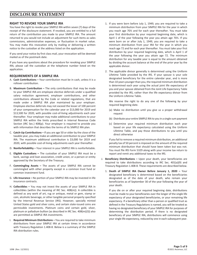# **DISCLOSURE STATEMENT**

# **RIGHT TO REVOKE YOUR SIMPLE IRA**

You have the right to revoke your SIMPLE IRA within seven (7) days of the receipt of the disclosure statement. If revoked, you are entitled to a full return of the contribution you made to your SIMPLE IRA. The amount returned to you would not include an adjustment for such items as sales commissions, administrative expenses, or fluctuation in market value. You may make this revocation only by mailing or delivering a written notice to the custodian at the address listed on the application.

If you send your notice by first class mail, your revocation will be deemed mailed as of the postmark date.

If you have any questions about the procedure for revoking your SIMPLE IRA, please call the custodian at the telephone number listed on the application.

# **REQUIREMENTS OF A SIMPLE IRA**

- A. **Cash Contributions –** Your contribution must be in cash, unless it is a rollover contribution.
- B. **Maximum Contribution –** The only contributions that may be made to your SIMPLE IRA are employee elective deferrals under a qualified salary reduction agreement, employer contributions, and other contributions allowed by the Code or related regulations, that are made under a SIMPLE IRA plan maintained by your employer. Employee elective deferrals may not exceed the lesser of 100 percent of your compensation for the calendar year or \$13,000 for 2019 and \$13,500 for 2020, with possible cost-of-living adjustments each year thereafter. Your employer may make additional contributions to your SIMPLE IRA within the limits prescribed in Internal Revenue Code Section (IRC Sec.) 408(p). Your employer is required to provide you with information that describes the terms of its SIMPLE IRA plan.
- C. **Catch-Up Contributions –** If you are age 50 or older by the close of the taxable year, you may make an additional contribution to your SIMPLE IRA. The maximum additional contribution is \$3,000 for 2019 and 2020, with possible cost-of-living adjustments each year thereafter.
- D. **Nonforfeitability –** Your interest in your SIMPLE IRA is nonforfeitable.
- E. **Eligible Custodians –** The custodian of your SIMPLE IRA must be a bank, savings and loan association, credit union, or a person or entity approved by the Secretary of the Treasury.
- F. **Commingling Assets –** The assets of your SIMPLE IRA cannot be commingled with other property except in a common trust fund or common investment fund.
- G. **Life Insurance –** No portion of your SIMPLE IRA may be invested in life insurance contracts.
- H. **Collectibles –** You may not invest the assets of your SIMPLE IRA in collectibles (within the meaning of IRC Sec. 408(m)). A collectible is defined as any work of art, rug or antique, metal or gem, stamp or coin, alcoholic beverage, or other tangible personal property specified by the Internal Revenue Service (IRS). However, specially minted United States gold and silver coins, and certain state-issued coins are permissible investments. Platinum coins and certain gold, silver, platinum or palladium bullion (as described in IRC Sec. 408(m)(3)) also are permitted as SIMPLE IRA investments.
- I. **Required Minimum Distributions –** You are required to take minimum distributions from your SIMPLE IRA at certain times in accordance with Treasury Regulation 1.408‑8. Below is a summary of the SIMPLE IRA distribution rules.
- 1. If you were born before July 1, 1949, you are required to take a minimum distribution from your SIMPLE IRA for the year in which you reach age 70½ and for each year thereafter. You must take your first distribution by your required beginning date, which is April 1 of the year following the year you attain age 70½. If you were born on or after July 1, 1949, you are required to take a minimum distribution from your IRA for the year in which you reach age 72 and for each year thereafter. You must take your first distribution by your required beginning date, which is April 1 of the year following the year you attain age 72. The minimum distribution for any taxable year is equal to the amount obtained by dividing the account balance at the end of the prior year by the applicable divisor.
- 2. The applicable divisor generally is determined using the Uniform Lifetime Table provided by the IRS. If your spouse is your sole designated beneficiary for the entire calendar year, and is more than 10 years younger than you, the required minimum distribution is determined each year using the actual joint life expectancy of you and your spouse obtained from the Joint Life Expectancy Table provided by the IRS, rather than the life expectancy divisor from the Uniform Lifetime Table.

We reserve the right to do any one of the following by your required beginning date.

- (a) Make no distribution until you give us a proper withdrawal request
- (b) Distribute your entire SIMPLE IRA to you in a single sum payment
- (c) Determine your required minimum distribution each year based on your life expectancy calculated using the Uniform Lifetime Table, and pay those distributions to you until you direct otherwise

If you fail to remove a required minimum distribution, an additional penalty tax of 50 percent is imposed on the amount of the required minimum distribution that should have been taken but was not. You must file IRS Form 5329 along with your income tax return to report and remit any additional taxes to the IRS.

- J. **Beneficiary Distributions –** Upon your death, your beneficiaries are required to take distributions according to IRC Sec. 401(a)(9) and Treasury Regulation 1.408-8. These requirements are described below.
	- 1. **Death of SIMPLE IRA Owner Before January 1, 2020 –** Your designated beneficiary is determined based on the beneficiaries designated as of the date of your death, who remain your beneficiaries as of September 30 of the year following the year of your death.

If you die on or after your required beginning date, distributions must be made to your beneficiaries over the longer of the single life expectancy of your designated beneficiaries, or your remaining life expectancy. If a beneficiary other than a person or qualified trust as defined in the Treasury Regulations is named, you will be treated as having no designated beneficiary of your SIMPLE IRA for purposes of determining the distribution period. If there is no designated beneficiary of your SIMPLE IRA, distributions will commence using your single life expectancy, reduced by one in each subsequent year.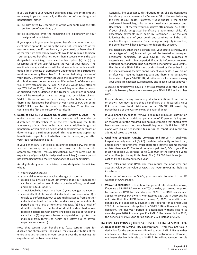If you die before your required beginning date, the entire amount remaining in your account will, at the election of your designated beneficiaries, either

- (a) be distributed by December 31 of the year containing the fifth anniversary of your death, or
- (b) be distributed over the remaining life expectancy of your designated beneficiaries.

If your spouse is your sole designated beneficiary, he or she must elect either option (a) or (b) by the earlier of December 31 of the year containing the fifth anniversary of your death, or December 31 of the year life expectancy payments would be required to begin. Your designated beneficiaries, other than a spouse who is the sole designated beneficiary, must elect either option (a) or (b) by December 31 of the year following the year of your death. If no election is made, distribution will be calculated in accordance with option (b). In the case of distributions under option (b), distributions must commence by December 31 of the year following the year of your death. Generally, if your spouse is the designated beneficiary, distributions need not commence until December 31 of the year you would have attained age 72 (age 70½ if you would have attained age 70½ before 2020), if later. If a beneficiary other than a person or qualified trust as defined in the Treasury Regulations is named, you will be treated as having no designated beneficiary of your SIMPLE IRA for purposes of determining the distribution period. If there is no designated beneficiary of your SIMPLE IRA, the entire SIMPLE IRA must be distributed by December 31 of the year containing the fifth anniversary of your death.

2. **Death of SIMPLE IRA Owner On or After January 1, 2020 –** The entire amount remaining in your account will generally be distributed by December 31 of the year containing the tenth anniversary of your death unless you have an eligible designated beneficiary or you have no designated beneficiary for purposes of determining a distribution period. This requirement applies to beneficiaries regardless of whether you die before, on, or after your required beginning date.

If your beneficiary is an eligible designated beneficiary, the entire amount remaining in your account may be distributed (in accordance with the Treasury Regulations) over the remaining life expectancy of your eligible designated beneficiary (or over a period not extending beyond the life expectancy of such beneficiary).

An eligible designated beneficiary is any designated beneficiary who is

- your surviving spouse,
- your child who has not reached the age of majority,
- disabled (A physician must determine that your impairment can be expected to result in death or to be of long, continued, and indefinite duration.),
- an individual who is not more than 10 years younger than you, or
- chronically ill (A chronically ill individual is someone who (1) is unable to perform (without substantial assistance from another individual) at least two activities of daily living for an indefinite period due to a loss of functional capacity, (2) has a level of disability similar to the level of disability described above requiring assistance with daily living based on loss of functional capacity, or (3) requires substantial supervision to protect the individual from threats to health and safety due to severe cognitive impairment.)

Note that certain trust beneficiaries (e.g., certain trusts for disabled and chronically ill individuals) may take distribution of the entire amount remaining in your account over the remaining life expectancy of the trust beneficiary.

Generally, life expectancy distributions to an eligible designated beneficiary must commence by December 31 of the year following the year of your death. However, if your spouse is the eligible designated beneficiary, distributions need not commence until December 31 of the year you would have attained age 72, if later. If your eligible designated beneficiary is your minor child, life expectancy payments must begin by December 31 of the year following the year of your death and continue until the child reaches the age of majority. Once the age of majority is reached, the beneficiary will have 10 years to deplete the account.

If a beneficiary other than a person (e.g., your estate, a charity, or a certain type of trust) is named, you will be treated as having no designated beneficiary of your SIMPLE IRA for purposes of determining the distribution period. If you die before your required beginning date and there is no designated beneficiary of your SIMPLE IRA, the entire SIMPLE IRA must be distributed by December 31 of the year containing the fifth anniversary of your death. If you die on or after your required beginning date and there is no designated beneficiary of your SIMPLE IRA, distributions will commence using your single life expectancy, reduced by one in each subsequent year.

A spouse beneficiary will have all rights as granted under the Code or applicable Treasury Regulations to treat your SIMPLE IRA as his or her own.

If we so choose, for any reason (e.g., due to limitations of our charter or bylaws), we may require that a beneficiary of a deceased SIMPLE IRA owner take total distribution of all SIMPLE IRA assets by December 31 of the year following the year of death.

If your beneficiary fails to remove a required minimum distribution after your death, an additional penalty tax of 50 percent is imposed on the amount of the required minimum distribution that should have been taken but was not. Your beneficiary must file IRS Form 5329 along with his or her income tax return to report and remit any additional taxes to the IRS.

K. **Qualifying Longevity Annuity Contracts and RMDs –** A qualifying longevity annuity contract (QLAC) is a deferred annuity contract that, among other requirements, must guarantee lifetime income starting no later than age 85. The total premiums paid to QLACs in your IRAs must not exceed 25 percent (up to \$125,000) of the combined value of your IRAs (excluding Roth IRAs). The \$125,000 limit is subject to cost-of-living adjustments each year.

When calculating your RMD, you may reduce the prior year end account value by the value of QLACs that your SIMPLE IRA holds as investments.

For more information on QLACs, you may wish to refer to the IRS website at www.irs.gov.

L. **Waiver of 2020 RMD –** In spite of the general rules described above, if you are a SIMPLE IRA owner age 70½ or older, you are not required to remove an RMD for calendar year 2020. This RMD waiver also applies to SIMPLE IRA owners who attained age 70½ in 2019 but did not take their first RMD before January 1, 2020. In addition, no beneficiary life expectancy payments are required for calendar year 2020. If the five-year rule applies to a SIMPLE IRA with respect to any decedent, the five-year period is determined without regard to calendar year 2020. For example, if a SIMPLE IRA owner died in 2017, the beneficiary's five-year period ends in 2023 instead of 2022.

# **INCOME TAX CONSEQUENCES OF ESTABLISHING A SIMPLE IRA**

A. **Deductibility for SIMPLE IRA Contributions –** You may not take a deduction for the amounts contributed to your SIMPLE IRA as either employee elective deferrals or employer contributions. However, employee elective deferrals to a SIMPLE IRA will reduce your taxable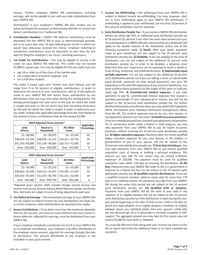income. Further, employer SIMPLE IRA contributions, including earnings, will not be taxable to you until you take a distribution from your SIMPLE IRA.

Participation in your employer's SIMPLE IRA plan renders you an active participant for purposes of determining whether or not you can deduct contributions to a Traditional IRA.

- B. **Contribution Deadline –** SIMPLE IRA deferral contributions must be deposited into the SIMPLE IRA as soon as administratively possible, but in no event later than 30 days following the month in which you would have otherwise received the money. Employer matching or nonelective contributions must be deposited no later than the due date for filing the employer's tax return, including extensions.
- C. **Tax Credit for Contributions –** You may be eligible to receive a tax credit for your SIMPLE IRA deferrals. This credit may not exceed \$1,000 in a given year. You may be eligible for this tax credit if you are
	- age 18 or older as of the close of the taxable year,
	- not a dependent of another taxpayer, and
	- not a full-time student.

The credit is based upon your income (see chart below), and will range from 0 to 50 percent of eligible contributions. In order to determine the amount of your contributions, add all of the deferrals made to your SIMPLE IRA and reduce these contributions by any distributions that you may have taken during the testing period. The testing period begins two years prior to the year for which the credit is sought and ends on the tax return due date (including extensions) for the year for which the credit is sought. In order to determine your tax credit, multiply the applicable percentage from the chart below by the amount of your contributions that do not exceed \$2,000.

| 2019 Adjusted Gross Income* |                        |                           |                          |
|-----------------------------|------------------------|---------------------------|--------------------------|
| Joint<br>Return             | Head of a<br>Household | <b>All Other</b><br>Cases | Applicable<br>Percentage |
| $$1 - 38,500$               | $$1 - 28,875$          | $$1 - 19,250$             | 50                       |
| \$38,501-41,500             | \$28,876-31,125        | \$19,251-20,750           | 20                       |
| \$41,501-64,000             | \$31,126-48,000        | \$20,751-32,000           | 10                       |
| Over \$64,000               | Over \$48,000          | Over \$32,000             | 0                        |

| 2020 Adjusted Gross Income* |                        |                           |                                 |
|-----------------------------|------------------------|---------------------------|---------------------------------|
| Joint<br>Return             | Head of a<br>Household | <b>All Other</b><br>Cases | <b>Applicable</b><br>Percentage |
| $$1 - 39,000$               | $$1 - 29,250$          | $$1 - 19,500$             | 50                              |
| \$39,001-42,500             | \$29,251-31,875        | \$19,501-21,250           | 20                              |
| \$42,501-65,000             | \$31,876-48,750        | \$21,251-32,500           | 10                              |
| Over \$65,000               | Over \$48,750          | Over \$32,500             | 0                               |

\*Adjusted gross income (AGI) includes foreign earned income and income from Guam, America Samoa, North Mariana Islands, and Puerto Rico. AGI limits are subject to cost-of-living adjustments each year.

- D. **Tax-Deferred Earnings –** The investment earnings of your SIMPLE IRA are not subject to federal income tax until distributions are made (or, in certain instances, when distributions are deemed to be made).
- E. **Excess Contributions –** If you defer more than the maximum allowable limit for the tax year, you have an excess deferral and must correct it. Excess deferrals, adjusted for earnings, must be distributed from your SIMPLE IRA.

If your employer mistakenly contributes too much to your SIMPLE IRA as an employer contribution, your employer may effect distribution of the employer excess amount, adjusted for earnings through the date of distribution. The amount distributed to the employer is not includible in your gross income.

- F. **Income Tax Withholding –** Any withdrawal from your SIMPLE IRA is subject to federal income tax withholding. You may, however, elect not to have withholding apply to your SIMPLE IRA withdrawal. If withholding is applied to your withdrawal, not less than 10 percent of the amount withdrawn must be withheld.
- G. **Early Distribution Penalty Tax –** If you receive a SIMPLE IRA distribution before you attain age 59½, an additional early distribution penalty tax of 10 percent (25 percent if less than two years have passed since you first participated in a SIMPLE IRA plan sponsored by your employer) will apply to the taxable amount of the distribution unless one of the following exceptions apply. **1) Death.** After your death, payments made to your beneficiary are not subject to the 10 percent early distribution penalty tax. **2) Disability.** If you are disabled at the time of distribution, you are not subject to the additional 10 percent early distribution penalty tax. In order to be disabled, a physician must determine that your impairment can be expected to result in death or to be of long, continued, and indefinite duration. **3) Substantially equal periodic payments.** You are not subject to the additional 10 percent early distribution penalty tax if you are taking a series of substantially equal periodic payments (at least annual payments) over your life expectancy or the joint life expectancy of you and your beneficiary. You must continue these payments for the longer of five years or until you reach age 59½. **4) Unreimbursed medical expenses.** If you take payments to pay for unreimbursed medical expenses that exceed a specified percentage of your adjusted gross income, you will not be subject to the 10 percent early distribution penalty tax. For further detailed information and effective dates you may obtain IRS Publication 590‑B, *Distributions from Individual Retirement Arrangements (IRAs)*, from the IRS. The medical expenses may be for you, your spouse, or any dependent listed on your tax return. **5) Health insurance premiums.** If you are unemployed and have received unemployment compensation for 12 consecutive weeks under a federal or state program, you may take payments from your SIMPLE IRA to pay for health insurance premiums without incurring the 10 percent early distribution penalty tax. **6) Higher education expenses.** Payments taken for certain qualified higher education expenses for you, your spouse, or the children or grandchildren of you or your spouse, will not be subject to the 10 percent early distribution penalty tax. **7) First-time homebuyer.** You may take payments from your SIMPLE IRA to use toward qualified acquisition costs of buying or building a principal residence. The amount you may take for this reason may not exceed a lifetime maximum of \$10,000. The payment must be used for qualified acquisition costs within 120 days of receiving the distribution. **8) IRS levy.** Payments from your SIMPLE IRA made to the U.S. government in response to a federal tax levy are not subject to the 10 percent early distribution penalty tax. **9) Qualified reservist distributions.** If you are a qualified reservist member called to active duty for more than 179 days or an indefinite period, the payments you take from your SIMPLE IRA during the active duty period are not subject to the 10 percent early distribution penalty tax. **10) Qualified birth or adoption.** Payments from your SIMPLE IRA for the birth of your child or the adoption of an eligible adoptee will not be subject to the 10 percent early distribution penalty tax if the distribution is taken during the oneyear period beginning on the date of birth of your child or the date on which your legal adoption of an eligible adoptee is finalized. An eligible adoptee means any individual (other than your spouse's child) who has not attained age 18 or is physically or mentally incapable of selfsupport. The aggregate amount you may take for this reason may not exceed \$5,000 for each birth or adoption.

You must file IRS Form 5329 along with your income tax return to the IRS to report and remit any additional taxes or to claim a penalty tax exception.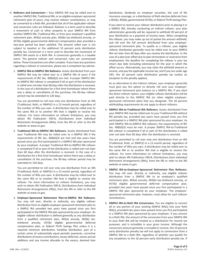- H. **Rollovers and Conversions –** Your SIMPLE IRA may be rolled over to another SIMPLE IRA, Traditional IRA, or an eligible employer-sponsored retirement plan of yours, may receive rollover contributions, or may be converted to a Roth IRA, provided that all of the applicable rollover and conversion rules are followed. Rollover is a term used to describe a movement of cash or other property to your SIMPLE IRA from another SIMPLE IRA, Traditional IRA, or from your employer's qualified retirement plan, 403(a) annuity plan, 403(b) tax-sheltered annuity, or 457(b) eligible governmental deferred compensation plan provided a two-year period has been satisfied. The amount rolled over is not subject to taxation or the additional 10 percent early distribution penalty tax. Conversion is a term used to describe the movement of SIMPLE IRA assets to a Roth IRA. A conversion generally is a taxable event. The general rollover and conversion rules are summarized below. These transactions are often complex. If you have any questions regarding a rollover or conversion, please see a competent tax advisor.
	- 1. **SIMPLE IRA-to-SIMPLE IRA Rollovers.** Assets distributed from your SIMPLE IRA may be rolled over to a SIMPLE IRA of yours if the requirements of IRC Sec. 408(d)(3) are met. A proper SIMPLE IRAto-SIMPLE IRA rollover is completed if all or part of the distribution is rolled over not later than 60 days after the distribution is received. In the case of a distribution for a first-time homebuyer where there was a delay or cancellation of the purchase, the 60-day rollover period may be extended to 120 days.

You are permitted to roll over only one distribution from an IRA (Traditional, Roth, or SIMPLE) in a 12‑month period, regardless of the number of IRAs you own. A distribution may be rolled over to the same IRA or to another IRA that is eligible to receive the rollover. For more information on rollover limitations, you may obtain IRS Publication 590‑B, *Distributions from Individual Retirement Arrangements (IRAs)*, from the IRS or refer to the IRS website at www.irs.gov.

2. **Traditional IRA-to-SIMPLE IRA Rollovers.** Assets distributed from your Traditional IRA may be rolled over to a SIMPLE IRA if the requirements of IRC Sec. 408(d)(3) are met and two years have passed since you first participated in a SIMPLE IRA plan sponsored by your employer. A proper Traditional IRA-to-SIMPLE IRA rollover is completed if all or part of the distribution is rolled over not later than 60 days after the distribution is received. In the case of a distribution for a first-time homebuyer where there was a delay or cancellation of the purchase, the 60‑day rollover period may be extended to 120 days.

You are permitted to roll over only one distribution from an IRA (Traditional, Roth, or SIMPLE) in a 12‑month period, regardless of the number of IRAs you own. A distribution may be rolled over to the same IRA or to another IRA that is eligible to receive the rollover. For more information on rollover limitations, you may wish to obtain IRS Publication 590‑B, *Distributions from Individual Retirement Arrangements (IRAs)*, from the IRS or refer to the IRS website at www.irs.gov.

3. **Employer-Sponsored Retirement Plan-to-SIMPLE IRA Rollovers.** You may roll over, directly or indirectly, any eligible rollover distribution from an eligible employer-sponsored retirement plan to a SIMPLE IRA provided two years have passed since you first participated in the SIMPLE IRA plan sponsored by your employer. An eligible rollover distribution is defined generally as any distribution from a qualified retirement plan, 403(a) annuity, 403(b) taxsheltered annuity, 457(b) eligible governmental deferred compensation plan, or federal Thrift Savings Plan unless it is a required minimum distribution, hardship distribution, part of a certain series of substantially equal periodic payments, corrective distributions of excess contributions, excess deferrals, excess annual additions and any income allocable to the excess, deemed loan

distribution, dividends on employer securities, the cost of life insurance coverage, or a distribution of Roth elective deferrals from a 401(k), 403(b), governmental 457(b), or federal Thrift Savings Plan.

If you elect to receive your rollover distribution prior to placing it in a SIMPLE IRA, thereby conducting an indirect rollover, your plan administrator generally will be required to withhold 20 percent of your distribution as a payment of income taxes. When completing the rollover, you may make up out of pocket the amount withheld, and roll over the full amount distributed from your employersponsored retirement plan. To qualify as a rollover, your eligible rollover distribution generally must be rolled over to your SIMPLE IRA not later than 60 days after you receive the distribution. In the case of a plan loan offset due to plan termination or severance from employment, the deadline for completing the rollover is your tax return due date (including extensions) for the year in which the offset occurs. Alternatively, you may claim the withheld amount as income, and pay the applicable income tax, and if you are under age 59½, the 10 percent early distribution penalty tax (unless an exception to the penalty applies).

As an alternative to the indirect rollover, your employer generally must give you the option to directly roll over your employersponsored retirement plan balance to a SIMPLE IRA. If you elect the direct rollover option, your eligible rollover distribution will be paid directly to the SIMPLE IRA (or other eligible employersponsored retirement plan) that you designate. The 20 percent withholding requirements do not apply to direct rollovers.

4. **SIMPLE IRA-to-Traditional IRA Rollovers.** Assets distributed from your SIMPLE IRA may be rolled over to your Traditional IRA without IRS penalty tax, provided two years have passed since you first participated in a SIMPLE IRA plan sponsored by your employer. As with SIMPLE IRA-to-SIMPLE IRA rollovers, the requirements of IRC Sec. 408(d)(3) must be met. A proper SIMPLE IRA-to-Traditional IRA rollover is completed if all or part of the distribution is rolled over not later than 60 days after the distribution is received.

You are permitted to roll over only one distribution from an IRA (Traditional, Roth, or SIMPLE) in a 12‑month period, regardless of the number of IRAs you own. A distribution may be rolled over to the same IRA or to another IRA that is eligible to receive the rollover. For more information on rollover limitations, you may wish to obtain IRS Publication 590‑B, *Distributions from Individual Retirement Arrangements (IRAs)*, from the IRS or refer to the IRS website at www.irs.gov.

- 5. **SIMPLE IRA-to-Employer-Sponsored Retirement Plan Rollovers.** You may roll over, directly or indirectly, any eligible rollover distribution from a SIMPLE IRA to an employer's qualified retirement plan, 403(a) annuity, 403(b) tax-sheltered annuity, or 457(b) eligible governmental deferred compensation plan, provided two years have passed since you first participated in a SIMPLE IRA plan sponsored by your employer. The employersponsored retirement plan, however, must allow for such rollover contributions.
- 6. **SIMPLE IRA-to-Roth IRA Conversions.** You are eligible to convert all or any portion of your existing SIMPLE IRA(s) into your Roth IRA(s), provided two years have passed since you first participated in a SIMPLE IRA plan sponsored by your employer. If you convert to a Roth IRA, the amount of the conversion from your SIMPLE IRA to your Roth IRA will be treated as a distribution for income tax purposes, and is includible in your gross income. Although the conversion amount generally is included in income, the 10 percent early distribution penalty tax will not apply to conversions from a SIMPLE IRA to a Roth IRA, regardless of whether you qualify for any exceptions to the 10 percent early distribution penalty tax. If